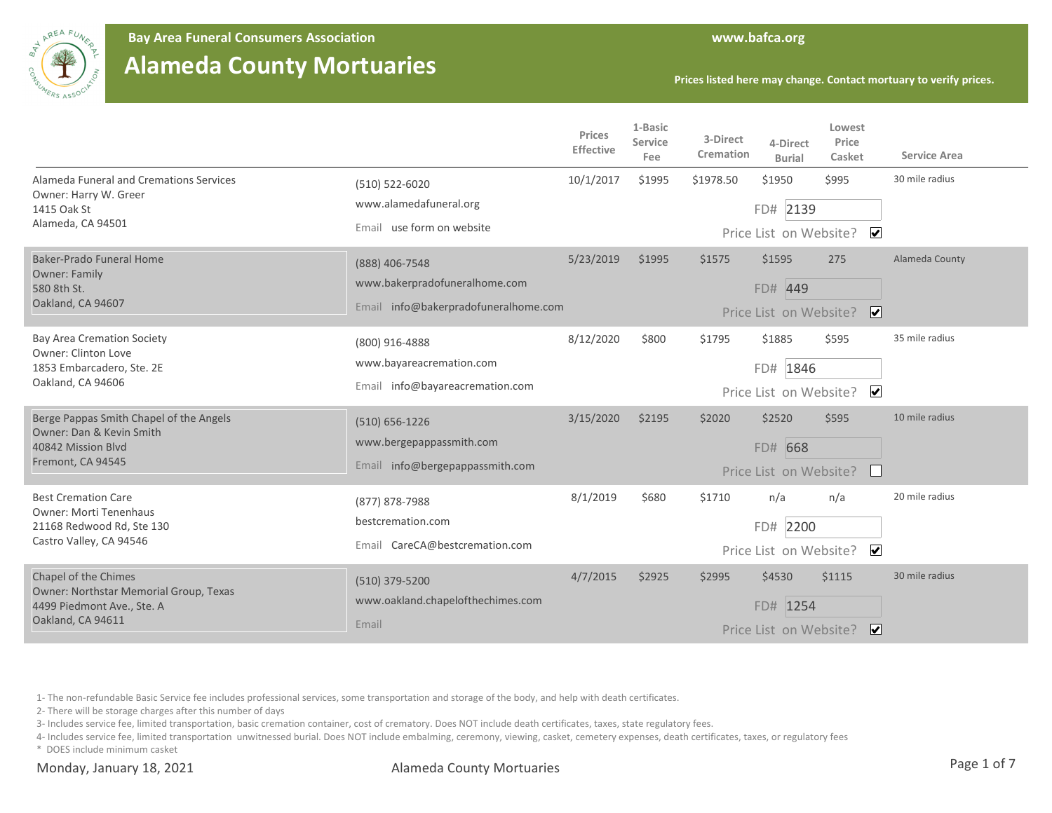

**Bay Area Funeral Consumers Association www.bafca.org**

## **Alameda County Mortuaries**

**Prices listed here may change. Contact mortuary to verify prices.**

|                                                                                                                     |                                                                                         | Prices<br>Effective | 1-Basic<br>Service<br>Fee | 3-Direct<br>Cremation | 4-Direct<br><b>Burial</b>                    | Lowest<br>Price<br>Casket      | <b>Service Area</b> |
|---------------------------------------------------------------------------------------------------------------------|-----------------------------------------------------------------------------------------|---------------------|---------------------------|-----------------------|----------------------------------------------|--------------------------------|---------------------|
| Alameda Funeral and Cremations Services<br>Owner: Harry W. Greer<br>1415 Oak St<br>Alameda, CA 94501                | (510) 522-6020<br>www.alamedafuneral.org<br>Email use form on website                   | 10/1/2017           | \$1995                    | \$1978.50             | \$1950<br>FD# 2139<br>Price List on Website? | \$995<br>$\blacktriangledown$  | 30 mile radius      |
| Baker-Prado Funeral Home<br><b>Owner: Family</b><br>580 8th St.<br>Oakland, CA 94607                                | (888) 406-7548<br>www.bakerpradofuneralhome.com<br>Email info@bakerpradofuneralhome.com | 5/23/2019           | \$1995                    | \$1575                | \$1595<br>FD# 449<br>Price List on Website?  | 275<br>$\overline{\mathbf{v}}$ | Alameda County      |
| <b>Bay Area Cremation Society</b><br>Owner: Clinton Love<br>1853 Embarcadero, Ste. 2E<br>Oakland, CA 94606          | (800) 916-4888<br>www.bayareacremation.com<br>Email info@bayareacremation.com           | 8/12/2020           | \$800                     | \$1795                | \$1885<br>FD# 1846<br>Price List on Website? | \$595<br>$\blacktriangledown$  | 35 mile radius      |
| Berge Pappas Smith Chapel of the Angels<br>Owner: Dan & Kevin Smith<br>40842 Mission Blyd<br>Fremont, CA 94545      | (510) 656-1226<br>www.bergepappassmith.com<br>Email info@bergepappassmith.com           | 3/15/2020           | \$2195                    | \$2020                | \$2520<br>FD# 668<br>Price List on Website?  | \$595                          | 10 mile radius      |
| <b>Best Cremation Care</b><br><b>Owner: Morti Tenenhaus</b><br>21168 Redwood Rd, Ste 130<br>Castro Valley, CA 94546 | (877) 878-7988<br>bestcremation.com<br>Email CareCA@bestcremation.com                   | 8/1/2019            | \$680                     | \$1710                | n/a<br>2200<br>FD#<br>Price List on Website? | n/a<br>$\overline{\mathbf{v}}$ | 20 mile radius      |
| Chapel of the Chimes<br>Owner: Northstar Memorial Group, Texas<br>4499 Piedmont Ave., Ste. A<br>Oakland, CA 94611   | (510) 379-5200<br>www.oakland.chapelofthechimes.com<br>Email                            | 4/7/2015            | \$2925                    | \$2995                | \$4530<br>FD# 1254<br>Price List on Website? | \$1115<br>$ \mathbf{v} $       | 30 mile radius      |

1- The non-refundable Basic Service fee includes professional services, some transportation and storage of the body, and help with death certificates.

2- There will be storage charges after this number of days

3- Includes service fee, limited transportation, basic cremation container, cost of crematory. Does NOT include death certificates, taxes, state regulatory fees.

4- Includes service fee, limited transportation unwitnessed burial. Does NOT include embalming, ceremony, viewing, casket, cemetery expenses, death certificates, taxes, or regulatory fees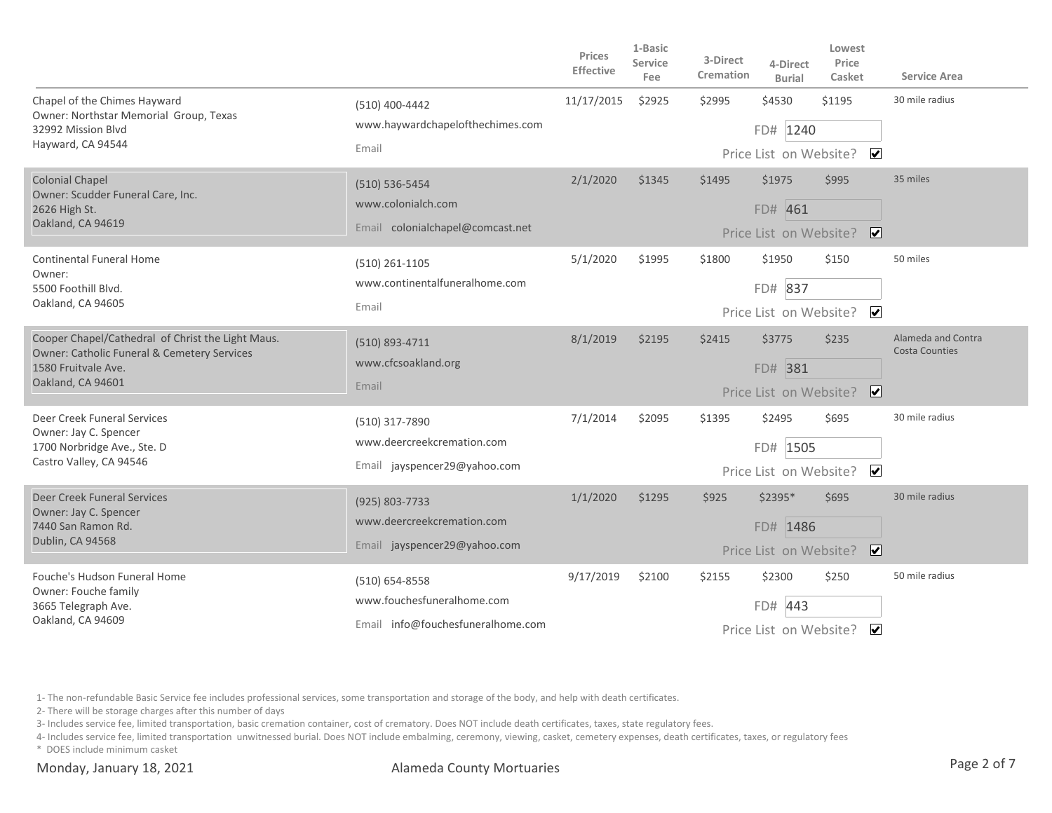|                                                                                                                                              |                                                                                   | Prices<br>Effective | 1-Basic<br><b>Service</b><br>Fee | 3-Direct<br>Cremation | 4-Direct<br><b>Burial</b>                      | Lowest<br>Price<br>Casket                | <b>Service Area</b>                         |
|----------------------------------------------------------------------------------------------------------------------------------------------|-----------------------------------------------------------------------------------|---------------------|----------------------------------|-----------------------|------------------------------------------------|------------------------------------------|---------------------------------------------|
| Chapel of the Chimes Hayward<br>Owner: Northstar Memorial Group, Texas<br>32992 Mission Blvd<br>Hayward, CA 94544                            | (510) 400-4442<br>www.haywardchapelofthechimes.com<br>Email                       | 11/17/2015          | \$2925                           | \$2995                | \$4530<br>FD# 1240<br>Price List on Website?   | \$1195<br>$\overline{\mathbf{v}}$        | 30 mile radius                              |
| <b>Colonial Chapel</b><br>Owner: Scudder Funeral Care, Inc.<br>2626 High St.<br>Oakland, CA 94619                                            | $(510) 536 - 5454$<br>www.colonialch.com<br>Email colonialchapel@comcast.net      | 2/1/2020            | \$1345                           | \$1495                | \$1975<br>FD# 461                              | \$995<br>Price List on Website? V        | 35 miles                                    |
| <b>Continental Funeral Home</b><br>Owner:<br>5500 Foothill Blvd.<br>Oakland, CA 94605                                                        | (510) 261-1105<br>www.continentalfuneralhome.com<br>Email                         | 5/1/2020            | \$1995                           | \$1800                | \$1950<br>FD# 837                              | \$150<br>Price List on Website? ✔        | 50 miles                                    |
| Cooper Chapel/Cathedral of Christ the Light Maus.<br>Owner: Catholic Funeral & Cemetery Services<br>1580 Fruitvale Ave.<br>Oakland, CA 94601 | (510) 893-4711<br>www.cfcsoakland.org<br>Email                                    | 8/1/2019            | \$2195                           | \$2415                | \$3775<br>FD# 381                              | \$235<br>Price List on Website? V        | Alameda and Contra<br><b>Costa Counties</b> |
| Deer Creek Funeral Services<br>Owner: Jay C. Spencer<br>1700 Norbridge Ave., Ste. D<br>Castro Valley, CA 94546                               | (510) 317-7890<br>www.deercreekcremation.com<br>Email jayspencer29@yahoo.com      | 7/1/2014            | \$2095                           | \$1395                | \$2495<br>FD# 1505                             | \$695<br>Price List on Website? ✔        | 30 mile radius                              |
| Deer Creek Funeral Services<br>Owner: Jay C. Spencer<br>7440 San Ramon Rd.<br>Dublin, CA 94568                                               | (925) 803-7733<br>www.deercreekcremation.com<br>Email jayspencer29@yahoo.com      | 1/1/2020            | \$1295                           | \$925                 | $$2395*$<br>FD# 1486<br>Price List on Website? | \$695<br>$\overline{\mathbf{v}}$         | 30 mile radius                              |
| Fouche's Hudson Funeral Home<br>Owner: Fouche family<br>3665 Telegraph Ave.<br>Oakland, CA 94609                                             | (510) 654-8558<br>www.fouchesfuneralhome.com<br>Email info@fouchesfuneralhome.com | 9/17/2019           | \$2100                           | \$2155                | \$2300<br>443<br>FD#<br>Price List on Website? | \$250<br>$\overline{\blacktriangleleft}$ | 50 mile radius                              |

2- There will be storage charges after this number of days

3- Includes service fee, limited transportation, basic cremation container, cost of crematory. Does NOT include death certificates, taxes, state regulatory fees.

4- Includes service fee, limited transportation unwitnessed burial. Does NOT include embalming, ceremony, viewing, casket, cemetery expenses, death certificates, taxes, or regulatory fees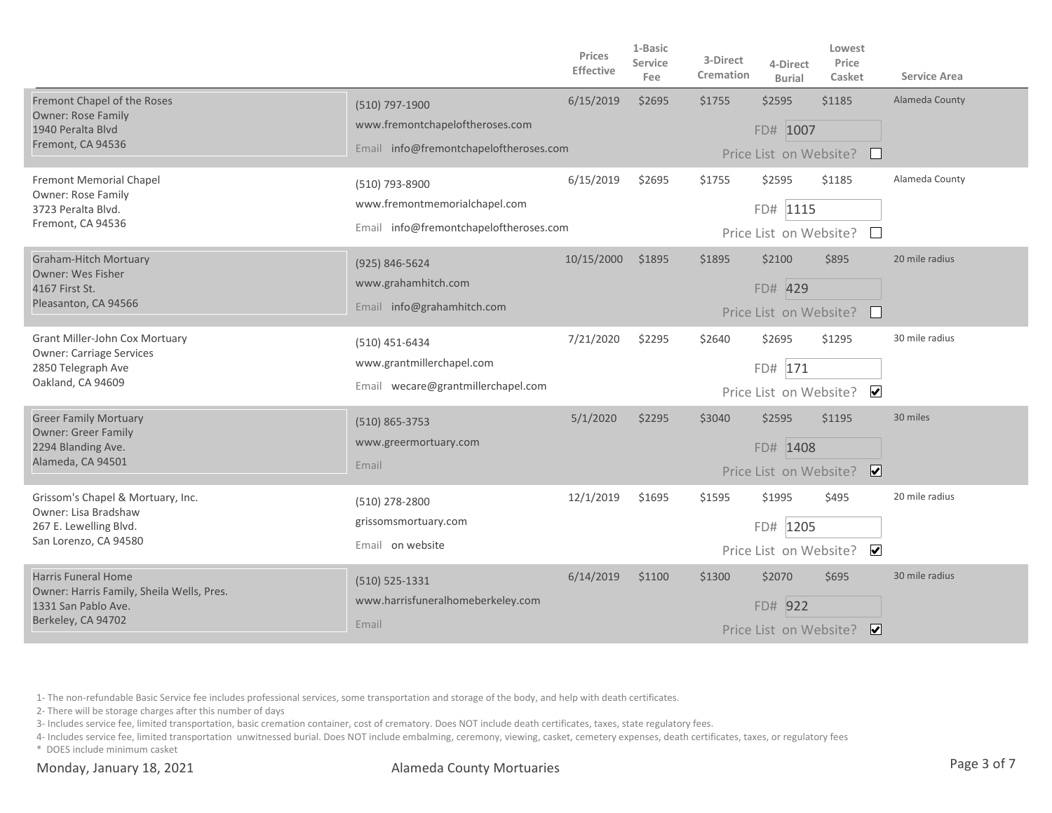|                                                                                                                      |                                                                                             | Prices<br>Effective | 1-Basic<br>Service<br>Fee | 3-Direct<br>Cremation | 4-Direct<br><b>Burial</b>                    | Lowest<br>Price<br>Casket          | <b>Service Area</b> |
|----------------------------------------------------------------------------------------------------------------------|---------------------------------------------------------------------------------------------|---------------------|---------------------------|-----------------------|----------------------------------------------|------------------------------------|---------------------|
| Fremont Chapel of the Roses<br><b>Owner: Rose Family</b><br>1940 Peralta Blvd<br>Fremont, CA 94536                   | (510) 797-1900<br>www.fremontchapeloftheroses.com<br>Email info@fremontchapeloftheroses.com | 6/15/2019           | \$2695                    | \$1755                | \$2595<br>FD# 1007<br>Price List on Website? | \$1185<br>$\perp$                  | Alameda County      |
| Fremont Memorial Chapel<br>Owner: Rose Family<br>3723 Peralta Blvd.<br>Fremont, CA 94536                             | (510) 793-8900<br>www.fremontmemorialchapel.com<br>Email info@fremontchapeloftheroses.com   | 6/15/2019           | \$2695                    | \$1755                | \$2595<br>FD# 1115<br>Price List on Website? | \$1185<br>$\mathbf{1}$             | Alameda County      |
| <b>Graham-Hitch Mortuary</b><br><b>Owner: Wes Fisher</b><br>4167 First St.<br>Pleasanton, CA 94566                   | (925) 846-5624<br>www.grahamhitch.com<br>Email info@grahamhitch.com                         | 10/15/2000          | \$1895                    | \$1895                | \$2100<br>FD# 429<br>Price List on Website?  | \$895<br>$\mathbf{L}$              | 20 mile radius      |
| Grant Miller-John Cox Mortuary<br><b>Owner: Carriage Services</b><br>2850 Telegraph Ave<br>Oakland, CA 94609         | (510) 451-6434<br>www.grantmillerchapel.com<br>Email wecare@grantmillerchapel.com           | 7/21/2020           | \$2295                    | \$2640                | \$2695<br>FD# 171                            | \$1295<br>Price List on Website? ✔ | 30 mile radius      |
| <b>Greer Family Mortuary</b><br><b>Owner: Greer Family</b><br>2294 Blanding Ave.<br>Alameda, CA 94501                | (510) 865-3753<br>www.greermortuary.com<br>Email                                            | 5/1/2020            | \$2295                    | \$3040                | \$2595<br>FD# 1408<br>Price List on Website? | \$1195<br>$\overline{\mathbf{v}}$  | 30 miles            |
| Grissom's Chapel & Mortuary, Inc.<br>Owner: Lisa Bradshaw<br>267 E. Lewelling Blvd.<br>San Lorenzo, CA 94580         | (510) 278-2800<br>grissomsmortuary.com<br>Email on website                                  | 12/1/2019           | \$1695                    | \$1595                | \$1995<br>FD# 1205<br>Price List on Website? | \$495<br>$\overline{\mathbf{v}}$   | 20 mile radius      |
| <b>Harris Funeral Home</b><br>Owner: Harris Family, Sheila Wells, Pres.<br>1331 San Pablo Ave.<br>Berkeley, CA 94702 | $(510) 525 - 1331$<br>www.harrisfuneralhomeberkeley.com<br>Email                            | 6/14/2019           | \$1100                    | \$1300                | \$2070<br>FD# 922<br>Price List on Website?  | \$695<br>$\overline{\mathbf{v}}$   | 30 mile radius      |

2- There will be storage charges after this number of days

3- Includes service fee, limited transportation, basic cremation container, cost of crematory. Does NOT include death certificates, taxes, state regulatory fees.

4- Includes service fee, limited transportation unwitnessed burial. Does NOT include embalming, ceremony, viewing, casket, cemetery expenses, death certificates, taxes, or regulatory fees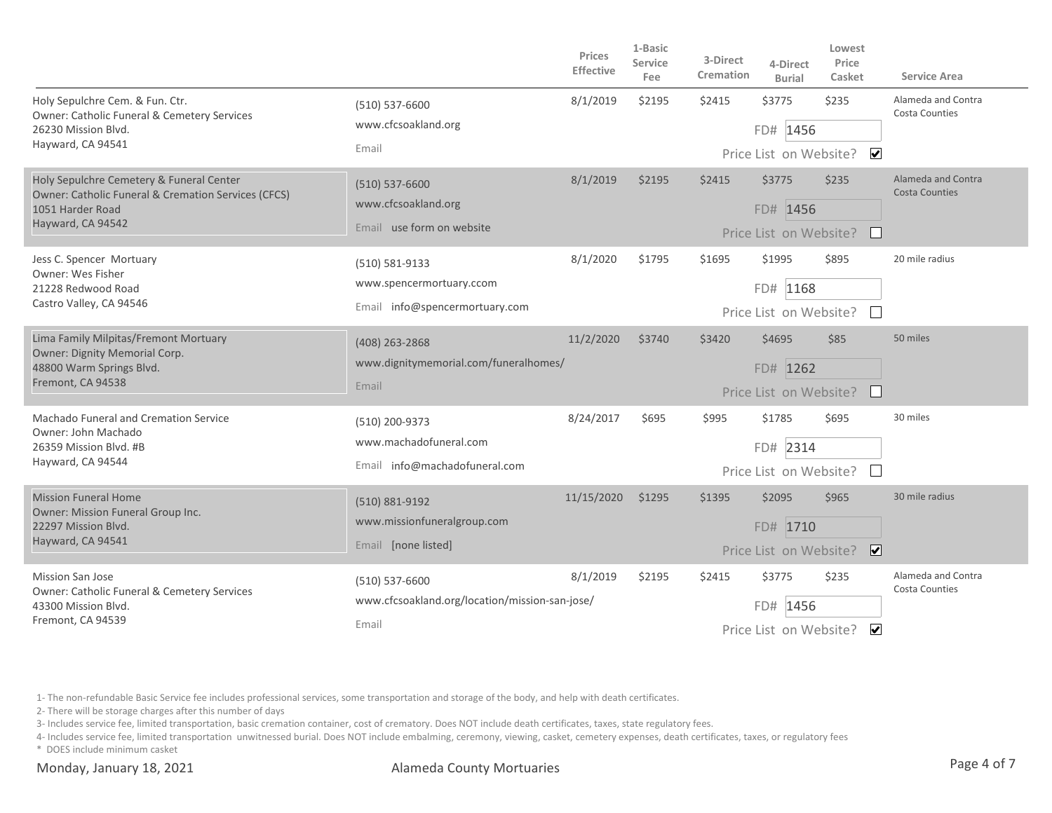|                                                                                                                                          |                                                                               | <b>Prices</b><br><b>Effective</b> | 1-Basic<br>Service<br>Fee | 3-Direct<br>Cremation | 4-Direct<br><b>Burial</b>                       | Lowest<br>Price<br>Casket            | <b>Service Area</b>                         |
|------------------------------------------------------------------------------------------------------------------------------------------|-------------------------------------------------------------------------------|-----------------------------------|---------------------------|-----------------------|-------------------------------------------------|--------------------------------------|---------------------------------------------|
| Holy Sepulchre Cem. & Fun. Ctr.<br>Owner: Catholic Funeral & Cemetery Services<br>26230 Mission Blvd.<br>Hayward, CA 94541               | $(510) 537 - 6600$<br>www.cfcsoakland.org<br>Email                            | 8/1/2019                          | \$2195                    | \$2415                | \$3775<br>FD# 1456<br>Price List on Website?    | \$235<br>$\overline{\mathbf{v}}$     | Alameda and Contra<br><b>Costa Counties</b> |
| Holy Sepulchre Cemetery & Funeral Center<br>Owner: Catholic Funeral & Cremation Services (CFCS)<br>1051 Harder Road<br>Hayward, CA 94542 | $(510) 537 - 6600$<br>www.cfcsoakland.org<br>Email use form on website        | 8/1/2019                          | \$2195                    | \$2415                | \$3775<br>FD# 1456<br>Price List on Website?    | \$235<br>$\perp$                     | Alameda and Contra<br><b>Costa Counties</b> |
| Jess C. Spencer Mortuary<br><b>Owner: Wes Fisher</b><br>21228 Redwood Road<br>Castro Valley, CA 94546                                    | (510) 581-9133<br>www.spencermortuary.ccom<br>Email info@spencermortuary.com  | 8/1/2020                          | \$1795                    | \$1695                | \$1995<br>FD# 1168<br>Price List on Website?    | \$895<br>$\mathbb{R}^n$              | 20 mile radius                              |
| Lima Family Milpitas/Fremont Mortuary<br>Owner: Dignity Memorial Corp.<br>48800 Warm Springs Blvd.<br>Fremont, CA 94538                  | (408) 263-2868<br>www.dignitymemorial.com/funeralhomes/<br>Email              | 11/2/2020                         | \$3740                    | \$3420                | \$4695<br>FD# 1262<br>Price List on Website?    | \$85<br>$\mathbf{L}$                 | 50 miles                                    |
| <b>Machado Funeral and Cremation Service</b><br>Owner: John Machado<br>26359 Mission Blvd. #B<br>Hayward, CA 94544                       | (510) 200-9373<br>www.machadofuneral.com<br>Email info@machadofuneral.com     | 8/24/2017                         | \$695                     | \$995                 | \$1785<br>FD# 2314<br>Price List on Website?    | \$695                                | 30 miles                                    |
| <b>Mission Funeral Home</b><br>Owner: Mission Funeral Group Inc.<br>22297 Mission Blvd.<br>Hayward, CA 94541                             | (510) 881-9192<br>www.missionfuneralgroup.com<br>Email [none listed]          | 11/15/2020                        | \$1295                    | \$1395                | \$2095<br>FD# 1710<br>Price List on Website?    | \$965<br>$\triangledown$             | 30 mile radius                              |
| <b>Mission San Jose</b><br>Owner: Catholic Funeral & Cemetery Services<br>43300 Mission Blyd.<br>Fremont, CA 94539                       | $(510) 537 - 6600$<br>www.cfcsoakland.org/location/mission-san-jose/<br>Email | 8/1/2019                          | \$2195                    | \$2415                | \$3775<br>1456<br>FD#<br>Price List on Website? | \$235<br>$\overline{\blacktriangle}$ | Alameda and Contra<br><b>Costa Counties</b> |

2- There will be storage charges after this number of days

3- Includes service fee, limited transportation, basic cremation container, cost of crematory. Does NOT include death certificates, taxes, state regulatory fees.

4- Includes service fee, limited transportation unwitnessed burial. Does NOT include embalming, ceremony, viewing, casket, cemetery expenses, death certificates, taxes, or regulatory fees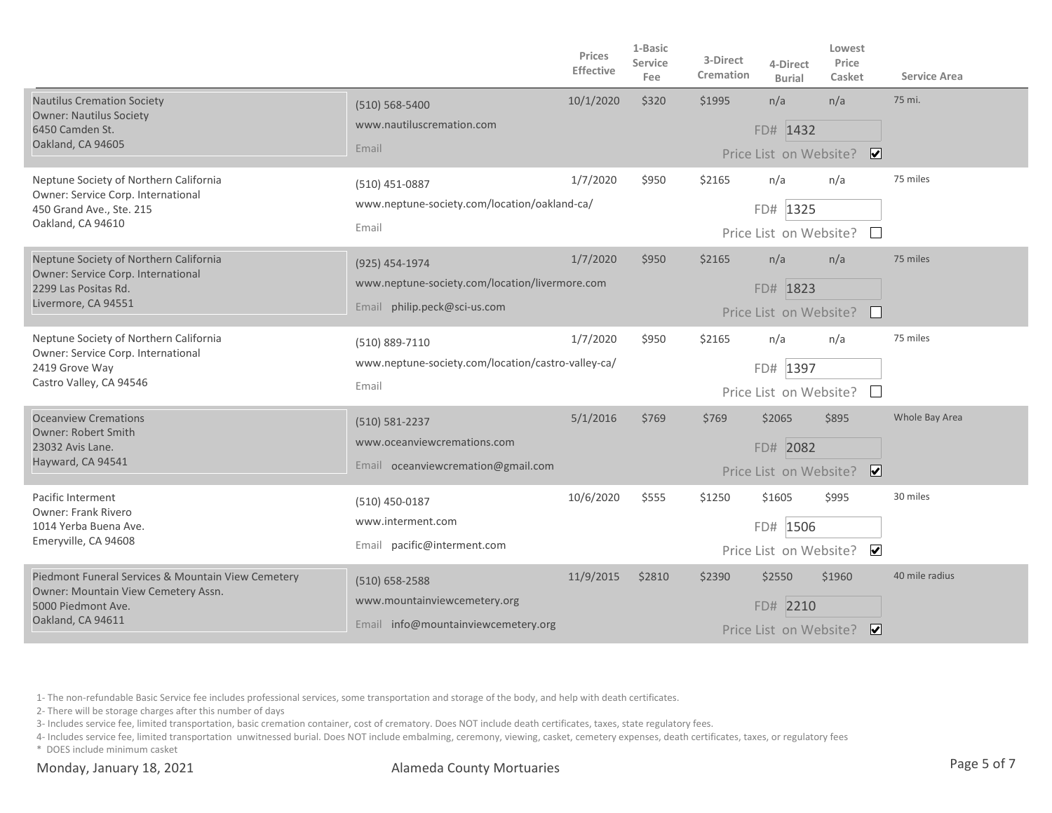|                                                                                                                                      |                                                                                                  | Prices<br><b>Effective</b> | 1-Basic<br>Service<br>Fee | 3-Direct<br>Cremation | 4-Direct<br><b>Burial</b>                    | Lowest<br>Price<br>Casket         | <b>Service Area</b> |
|--------------------------------------------------------------------------------------------------------------------------------------|--------------------------------------------------------------------------------------------------|----------------------------|---------------------------|-----------------------|----------------------------------------------|-----------------------------------|---------------------|
| <b>Nautilus Cremation Society</b><br><b>Owner: Nautilus Society</b><br>6450 Camden St.<br>Oakland, CA 94605                          | $(510) 568 - 5400$<br>www.nautiluscremation.com<br>Email                                         | 10/1/2020                  | \$320                     | \$1995                | n/a<br>FD# 1432<br>Price List on Website?    | n/a<br>$\overline{\mathbf{v}}$    | 75 mi.              |
| Neptune Society of Northern California<br>Owner: Service Corp. International<br>450 Grand Ave., Ste. 215<br>Oakland, CA 94610        | (510) 451-0887<br>www.neptune-society.com/location/oakland-ca/<br>Email                          | 1/7/2020                   | \$950                     | \$2165                | n/a<br>FD# 1325<br>Price List on Website?    | n/a<br>$\mathbf{1}$               | 75 miles            |
| Neptune Society of Northern California<br>Owner: Service Corp. International<br>2299 Las Positas Rd.<br>Livermore, CA 94551          | (925) 454-1974<br>www.neptune-society.com/location/livermore.com<br>Email philip.peck@sci-us.com | 1/7/2020                   | \$950                     | \$2165                | n/a<br>FD# 1823<br>Price List on Website?    | n/a<br>$\mathbf{L}$               | 75 miles            |
| Neptune Society of Northern California<br>Owner: Service Corp. International<br>2419 Grove Way<br>Castro Valley, CA 94546            | (510) 889-7110<br>www.neptune-society.com/location/castro-valley-ca/<br>Email                    | 1/7/2020                   | \$950                     | \$2165                | n/a<br>FD# 1397<br>Price List on Website?    | n/a                               | 75 miles            |
| <b>Oceanview Cremations</b><br><b>Owner: Robert Smith</b><br>23032 Avis Lane.<br>Hayward, CA 94541                                   | (510) 581-2237<br>www.oceanviewcremations.com<br>Email oceanviewcremation@gmail.com              | 5/1/2016                   | \$769                     | \$769                 | \$2065<br>FD# 2082<br>Price List on Website? | \$895<br>$\overline{\mathbf{v}}$  | Whole Bay Area      |
| Pacific Interment<br><b>Owner: Frank Rivero</b><br>1014 Yerba Buena Ave.<br>Emeryville, CA 94608                                     | (510) 450-0187<br>www.interment.com<br>Email pacific@interment.com                               | 10/6/2020                  | \$555                     | \$1250                | \$1605<br>FD# 1506<br>Price List on Website? | \$995<br>$\blacktriangledown$     | 30 miles            |
| Piedmont Funeral Services & Mountain View Cemetery<br>Owner: Mountain View Cemetery Assn.<br>5000 Piedmont Ave.<br>Oakland, CA 94611 | $(510) 658 - 2588$<br>www.mountainviewcemetery.org<br>Email info@mountainviewcemetery.org        | 11/9/2015                  | \$2810                    | \$2390                | \$2550<br>FD# 2210<br>Price List on Website? | \$1960<br>$\overline{\mathbf{v}}$ | 40 mile radius      |

2- There will be storage charges after this number of days

3- Includes service fee, limited transportation, basic cremation container, cost of crematory. Does NOT include death certificates, taxes, state regulatory fees.

4- Includes service fee, limited transportation unwitnessed burial. Does NOT include embalming, ceremony, viewing, casket, cemetery expenses, death certificates, taxes, or regulatory fees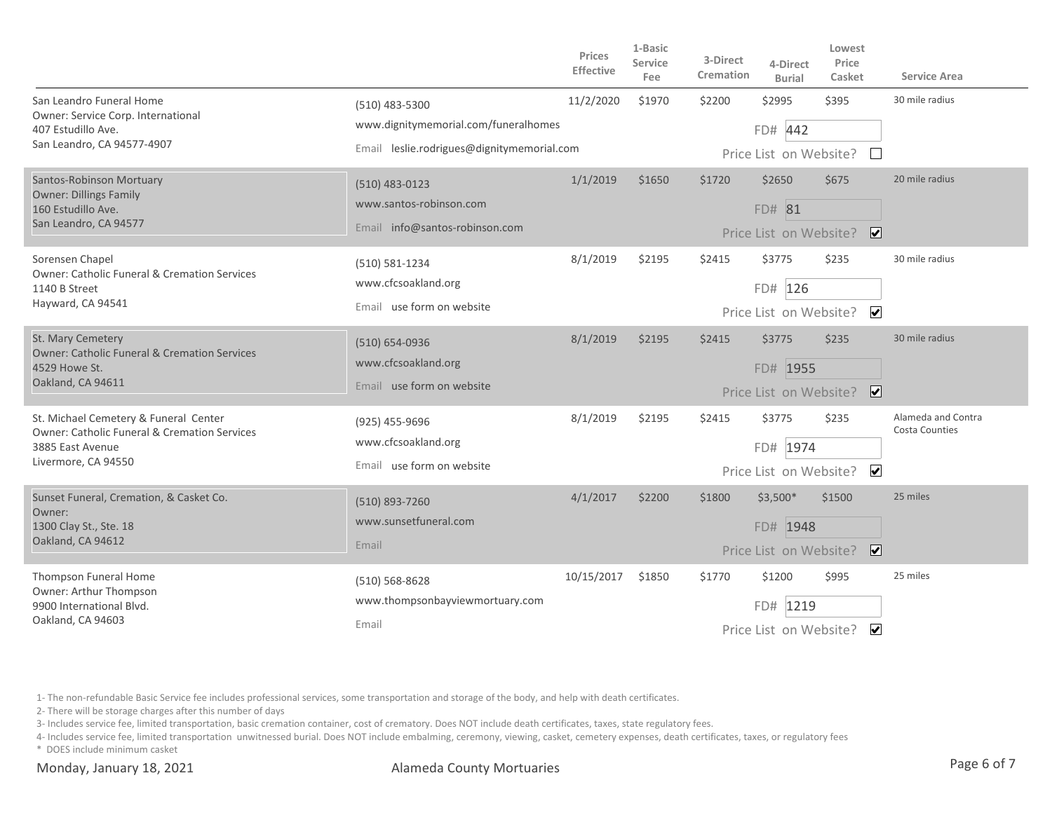|                                                                                                          |                                                        | Prices<br><b>Effective</b> | 1-Basic<br><b>Service</b><br>Fee | 3-Direct<br>Cremation                             | 4-Direct<br><b>Burial</b>                      | Lowest<br>Price<br>Casket | Service Area                                |
|----------------------------------------------------------------------------------------------------------|--------------------------------------------------------|----------------------------|----------------------------------|---------------------------------------------------|------------------------------------------------|---------------------------|---------------------------------------------|
| San Leandro Funeral Home<br>Owner: Service Corp. International                                           | (510) 483-5300<br>www.dignitymemorial.com/funeralhomes | 11/2/2020                  | \$1970                           | \$2200                                            | \$2995                                         | \$395                     | 30 mile radius                              |
| 407 Estudillo Ave.<br>San Leandro, CA 94577-4907                                                         | Email leslie.rodrigues@dignitymemorial.com             |                            |                                  | FD# 442                                           |                                                |                           |                                             |
|                                                                                                          |                                                        |                            |                                  |                                                   | Price List on Website?                         | $\mathbb{R}^n$            |                                             |
| Santos-Robinson Mortuary<br><b>Owner: Dillings Family</b><br>160 Estudillo Ave.<br>San Leandro, CA 94577 | $(510)$ 483-0123                                       | 1/1/2019                   | \$1650                           | \$1720                                            | \$2650                                         | \$675                     | 20 mile radius                              |
|                                                                                                          | www.santos-robinson.com                                |                            |                                  |                                                   | FD# 81                                         |                           |                                             |
|                                                                                                          | Email info@santos-robinson.com                         |                            |                                  |                                                   | Price List on Website?                         | ☑                         |                                             |
| Sorensen Chapel                                                                                          | (510) 581-1234                                         | 8/1/2019                   | \$2195                           | \$2415                                            | \$3775                                         | \$235                     | 30 mile radius                              |
| <b>Owner: Catholic Funeral &amp; Cremation Services</b><br>1140 B Street<br>Hayward, CA 94541            | www.cfcsoakland.org                                    |                            |                                  |                                                   | FD# 126                                        |                           |                                             |
|                                                                                                          | Email use form on website                              |                            |                                  |                                                   | Price List on Website?                         | $\overline{\mathbf{v}}$   |                                             |
| St. Mary Cemetery<br><b>Owner: Catholic Funeral &amp; Cremation Services</b>                             | (510) 654-0936                                         | 8/1/2019                   | \$2195                           | \$2415                                            | \$3775                                         | \$235                     | 30 mile radius                              |
| 4529 Howe St.                                                                                            | www.cfcsoakland.org                                    |                            |                                  |                                                   | FD# 1955                                       |                           |                                             |
| Oakland, CA 94611                                                                                        | Email use form on website                              |                            |                                  |                                                   | Price List on Website?                         | $\overline{\mathbf{v}}$   |                                             |
| St. Michael Cemetery & Funeral Center<br><b>Owner: Catholic Funeral &amp; Cremation Services</b>         | (925) 455-9696                                         | 8/1/2019                   | \$2195                           | \$2415                                            | \$3775                                         | \$235                     | Alameda and Contra<br><b>Costa Counties</b> |
| 3885 East Avenue                                                                                         | www.cfcsoakland.org                                    |                            |                                  |                                                   | FD# 1974                                       |                           |                                             |
| Livermore, CA 94550                                                                                      | Email use form on website                              |                            |                                  | $\overline{\mathbf{v}}$<br>Price List on Website? |                                                |                           |                                             |
| Sunset Funeral, Cremation, & Casket Co.                                                                  | (510) 893-7260                                         | 4/1/2017                   | \$2200                           | \$1800                                            | $$3,500*$                                      | \$1500                    | 25 miles                                    |
| Owner:<br>1300 Clay St., Ste. 18<br>Oakland, CA 94612                                                    | www.sunsetfuneral.com                                  |                            |                                  |                                                   | FD# 1948                                       |                           |                                             |
|                                                                                                          | Email                                                  |                            |                                  | $\overline{\mathbf{v}}$<br>Price List on Website? |                                                |                           |                                             |
| Thompson Funeral Home<br>Owner: Arthur Thompson                                                          | $(510) 568 - 8628$                                     | 10/15/2017                 | \$1850                           | \$1770                                            | \$1200                                         | \$995                     | 25 miles                                    |
| 9900 International Blvd.                                                                                 | www.thompsonbayviewmortuary.com                        |                            |                                  |                                                   | 1219<br>FD#                                    |                           |                                             |
| Oakland, CA 94603                                                                                        | Email                                                  |                            |                                  |                                                   | $\blacktriangledown$<br>Price List on Website? |                           |                                             |

2- There will be storage charges after this number of days

3- Includes service fee, limited transportation, basic cremation container, cost of crematory. Does NOT include death certificates, taxes, state regulatory fees.

4- Includes service fee, limited transportation unwitnessed burial. Does NOT include embalming, ceremony, viewing, casket, cemetery expenses, death certificates, taxes, or regulatory fees